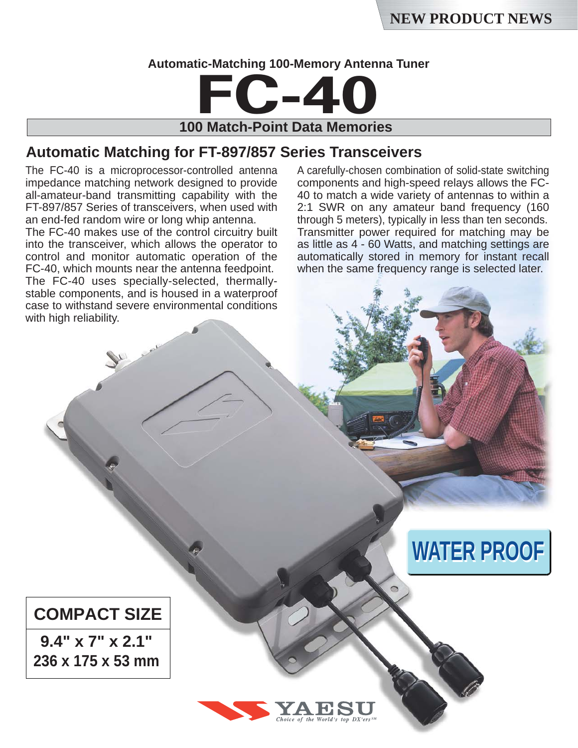**WATER PROOF** 

#### **Automatic-Matching 100-Memory Antenna Tuner**



**100 Match-Point Data Memories**

### **Automatic Matching for FT-897/857 Series Transceivers**

The FC-40 is a microprocessor-controlled antenna impedance matching network designed to provide all-amateur-band transmitting capability with the FT-897/857 Series of transceivers, when used with an end-fed random wire or long whip antenna.

The FC-40 makes use of the control circuitry built into the transceiver, which allows the operator to control and monitor automatic operation of the FC-40, which mounts near the antenna feedpoint. The FC-40 uses specially-selected, thermallystable components, and is housed in a waterproof case to withstand severe environmental conditions with high reliability.

A carefully-chosen combination of solid-state switching components and high-speed relays allows the FC-40 to match a wide variety of antennas to within a 2:1 SWR on any amateur band frequency (160 through 5 meters), typically in less than ten seconds. Transmitter power required for matching may be as little as 4 - 60 Watts, and matching settings are automatically stored in memory for instant recall when the same frequency range is selected later.

## **COMPACT SIZE**

**9.4" x 7" x 2.1" 236 x 175 x 53 mm**